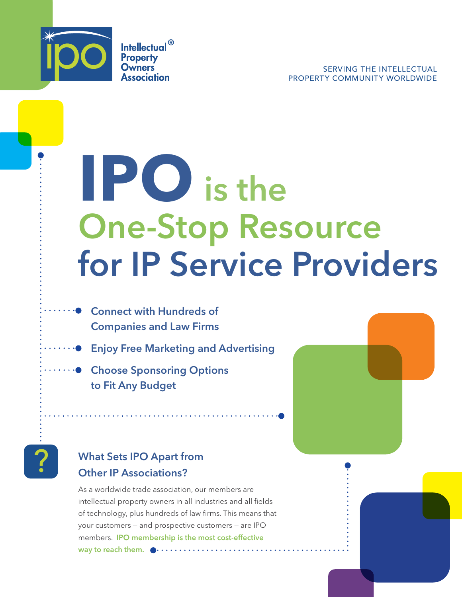

**Intellectual**<sup>®</sup> **Property Owners** Association

# **IPO** is the One-Stop Resource for IP Service Providers

- ····● Connect with Hundreds of Companies and Law Firms
	- **•** Enjoy Free Marketing and Advertising
- **Choose Sponsoring Options** to Fit Any Budget



**What Sets IPO Apart from** Other IP Associations?

> As a worldwide trade association, our members are intellectual property owners in all industries and all fields of technology, plus hundreds of law firms. This means that your customers — and prospective customers — are IPO members. IPO membership is the most cost-effective way to reach them.  $\bullet \cdots \cdots \cdots \cdots \cdots$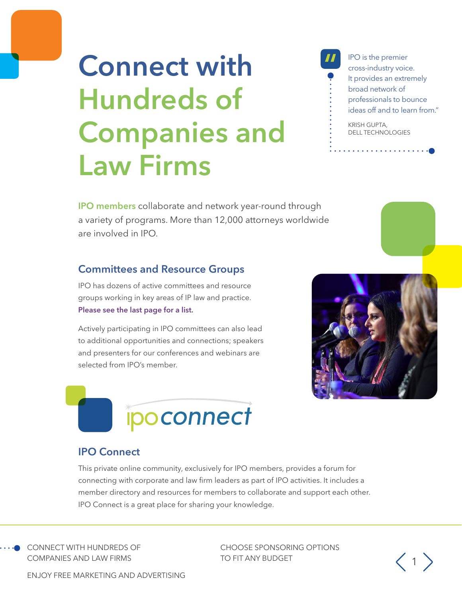# **Connect with** Hundreds of Companies and Law Firms

IPO is the premier cross-industry voice. It provides an extremely broad network of professionals to bounce ideas off and to learn from"

KRISH GUPTA, DELL TECHNOLOGIES

IPO members collaborate and network year-round through a variety of programs. More than 12,000 attorneys worldwide are involved in IPO.

### Committees and Resource Groups

IPO has dozens of active committees and resource groups working in key areas of IP law and practice. [Please see the last page for a list.](#page-5-0) 

[Actively participating in IPO committees can also lead](#page-5-0)  [to additional opportunities and connections; speakers](#page-5-0)  [and presenters for our conferences and webinars are](#page-5-0)  [selected from IPO's member.](#page-5-0)





### IPO Connect

This private online community, exclusively for IPO members, provides a forum for connecting with corporate and law firm leaders as part of IPO activities. It includes a member directory and resources for members to collaborate and support each other. IPO Connect is a great place for sharing your knowledge.

CONNECT WITH HUNDREDS OF COMPANIES AND LAW FIRMS

CHOOSE SPONSORING OPTIONS TO FIT ANY BUDGET  $\left\langle \begin{array}{c} 1 \end{array} \right\rangle$ 



ENJOY FREE MARKETING AND ADVERTISING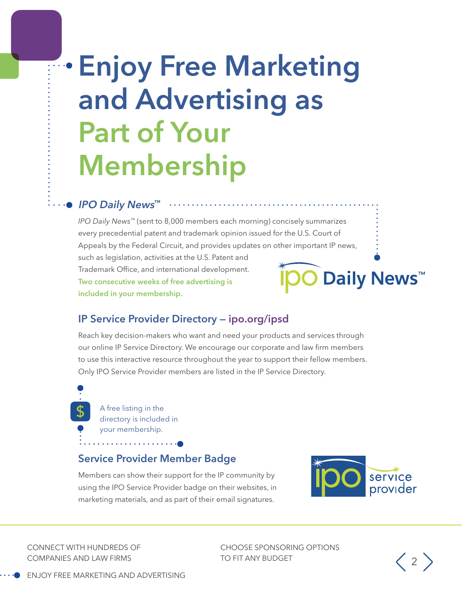# Enjoy Free Marketing and Advertising as Part of Your Membership

#### ■ IPO Daily News™

*IPO Daily News*™ (sent to 8,000 members each morning) concisely summarizes every precedential patent and trademark opinion issued for the U.S. Court of Appeals by the Federal Circuit, and provides updates on other important IP news, such as legislation, activities at the U.S. Patent and Trademark Office, and international development. **Daily News™** Two consecutive weeks of free advertising is included in your membership.

### IP Service Provider Directory — [ipo.org/ipsd](https://members.ipo.org/imis/commerce/ipserviceproviderdirectory)

Reach key decision-makers who want and need your products and services through our online IP Service Directory. We encourage our corporate and law firm members to use this interactive resource throughout the year to support their fellow members. Only IPO Service Provider members are listed in the IP Service Directory.

A free listing in the directory is included in your membership.

#### Service Provider Member Badge

Members can show their support for the IP community by using the IPO Service Provider badge on their websites, in marketing materials, and as part of their email signatures.



CONNECT WITH HUNDREDS OF COMPANIES AND LAW FIRMS

CHOOSE SPONSORING OPTIONS TO FIT ANY BUDGET  $\left\langle 2 \right\rangle$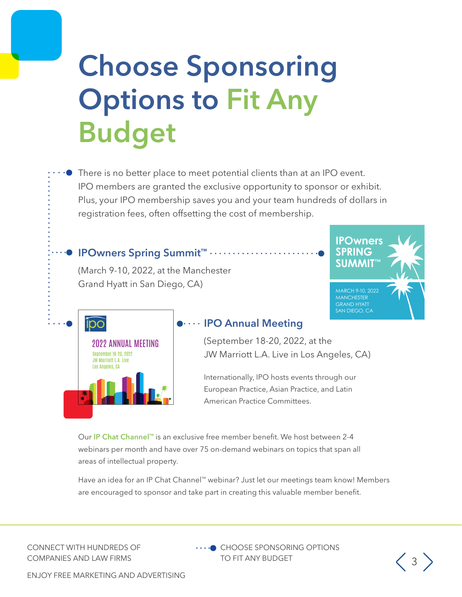# Choose Sponsoring Options to Fit Any Budget

There is no better place to meet potential clients than at an IPO event. IPO members are granted the exclusive opportunity to sponsor or exhibit. Plus, your IPO membership saves you and your team hundreds of dollars in registration fees, often offsetting the cost of membership.

<sup>●</sup> IPOwners Spring Summit™ ……

(March 9-10, 2022, at the Manchester Grand Hyatt in San Diego, CA)





#### $\bullet \cdots$  IPO Annual Meeting

(September 18-20, 2022, at the JW Marriott L.A. Live in Los Angeles, CA)

Internationally, IPO hosts events through our European Practice, Asian Practice, and Latin American Practice Committees.

Our IP Chat Channel™ is an exclusive free member benefit. We host between 2-4 webinars per month and have over 75 on-demand webinars on topics that span all areas of intellectual property.

Have an idea for an IP Chat Channel™ webinar? Just let our meetings team know! Members are encouraged to sponsor and take part in creating this valuable member benefit.

CONNECT WITH HUNDREDS OF COMPANIES AND LAW FIRMS

••••● CHOOSE SPONSORING OPTIONS TO FIT ANY BUDGET  $\left(3\right)$ 



ENJOY FREE MARKETING AND ADVERTISING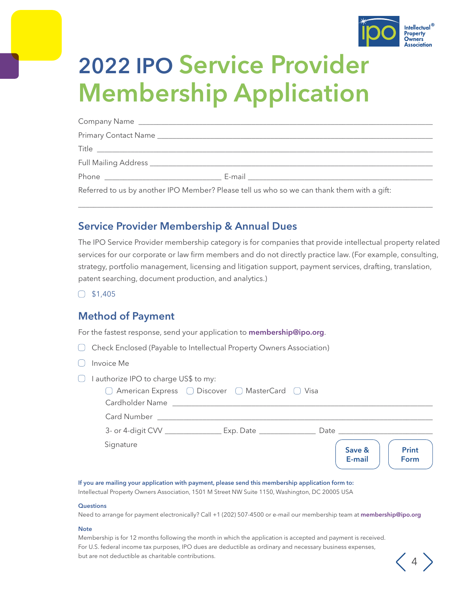

## 2022 IPO Service Provider Membership Application

| Referred to us by another IPO Member? Please tell us who so we can thank them with a gift: |
|--------------------------------------------------------------------------------------------|

\_\_\_\_\_\_\_\_\_\_\_\_\_\_\_\_\_\_\_\_\_\_\_\_\_\_\_\_\_\_\_\_\_\_\_\_\_\_\_\_\_\_\_\_\_\_\_\_\_\_\_\_\_\_\_\_\_\_\_\_\_\_\_\_\_\_\_\_\_\_\_\_\_\_\_\_\_\_\_\_\_\_\_\_\_\_\_\_\_\_\_\_\_\_

#### Service Provider Membership & Annual Dues

The IPO Service Provider membership category is for companies that provide intellectual property related services for our corporate or law firm members and do not directly practice law. (For example, consulting, strategy, portfolio management, licensing and litigation support, payment services, drafting, translation, patent searching, document production, and analytics.)

 $\bigcirc$  \$1,405

### Method of Payment

For the fastest response, send your application to [membership@ipo.org](mailto:membership%40ipo.org?subject=).

- $\Box$ Check Enclosed (Payable to Intellectual Property Owners Association)
- $\bigcap$  Invoice Me
- $\Box$  I authorize IPO to charge US\$ to my:

| Cardholder Name              | □ American Express □ Discover □ MasterCard □ Visa |      |                  |                      |
|------------------------------|---------------------------------------------------|------|------------------|----------------------|
| <b>Card Number</b>           |                                                   |      |                  |                      |
| 3- or 4-digit CVV __________ | Exp. Date                                         | Date |                  |                      |
| Signature                    |                                                   |      | Save &<br>E-mail | <b>Print</b><br>Form |

#### If you are mailing your application with payment, please send this membership application form to:

Intellectual Property Owners Association, 1501 M Street NW Suite 1150, Washington, DC 20005 USA

#### **Questions**

Need to arrange for payment electronically? Call +1 (202) 507-4500 or e-mail our membership team at membership@ipo.org

#### **Note**

Membership is for 12 months following the month in which the application is accepted and payment is received. For U.S. federal income tax purposes, IPO dues are deductible as ordinary and necessary business expenses, but are not deductible as charitable contributions.  $\left\langle 4 \right\rangle$